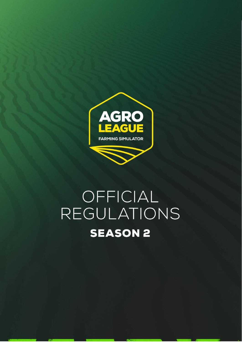

# OFFICIAL REGULATIONS **SEASON 2**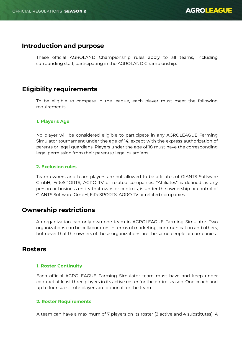## **Introduction and purpose**

These official AGROLAND Championship rules apply to all teams, including surrounding staff, participating in the AGROLAND Championship.

## **Eligibility requirements**

To be eligible to compete in the league, each player must meet the following requirements:

## **1. Player's Age**

No player will be considered eligible to participate in any AGROLEAGUE Farming Simulator tournament under the age of 14, except with the express authorization of parents or legal guardians. Players under the age of 18 must have the corresponding legal permission from their parents / legal guardians.

## **2. Exclusion rules**

Team owners and team players are not allowed to be affiliates of GIANTS Software GmbH, FiReSPORTS, AGRO TV or related companies. "Affiliates" is defined as any person or business entity that owns or controls, is under the ownership or control of GIANTS Software GmbH, FiReSPORTS, AGRO TV or related companies.

## **Ownership restrictions**

An organization can only own one team in AGROLEAGUE Farming Simulator. Two organizations can be collaborators in terms of marketing, communication and others, but never that the owners of these organizations are the same people or companies.

## **Rosters**

## **1. Roster Continuity**

Each official AGROLEAGUE Farming Simulator team must have and keep under contract at least three players in its active roster for the entire season. One coach and up to four substitute players are optional for the team.

## **2. Roster Requirements**

A team can have a maximum of 7 players on its roster (3 active and 4 substitutes). A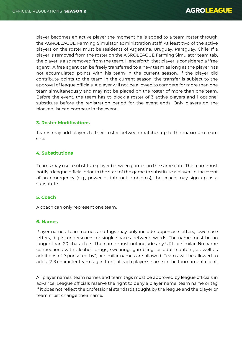player becomes an active player the moment he is added to a team roster through the AGROLEAGUE Farming Simulator administration staff. At least two of the active players on the roster must be residents of Argentina, Uruguay, Paraguay, Chile. If a player is removed from the roster on the AGROLEAGUE Farming Simulator team tab, the player is also removed from the team. Henceforth, that player is considered a "free agent". A free agent can be freely transferred to a new team as long as the player has not accumulated points with his team in the current season. If the player did contribute points to the team in the current season, the transfer is subject to the approval of league officials. A player will not be allowed to compete for more than one team simultaneously and may not be placed on the roster of more than one team. Before the event, the team has to block a roster of 3 active players and 1 optional substitute before the registration period for the event ends. Only players on the blocked list can compete in the event.

## **3. Roster Modifications**

Teams may add players to their roster between matches up to the maximum team size.

## **4. Substitutions**

Teams may use a substitute player between games on the same date. The team must notify a league official prior to the start of the game to substitute a player. In the event of an emergency (e.g., power or internet problems), the coach may sign up as a substitute.

## **5. Coach**

A coach can only represent one team.

## **6. Names**

Player names, team names and tags may only include uppercase letters, lowercase letters, digits, underscores, or single spaces between words. The name must be no longer than 20 characters. The name must not include any URL or similar. No name connections with alcohol, drugs, swearing, gambling, or adult content, as well as additions of "sponsored by", or similar names are allowed. Teams will be allowed to add a 2-3 character team tag in front of each player's name in the tournament client.

All player names, team names and team tags must be approved by league officials in advance. League officials reserve the right to deny a player name, team name or tag if it does not reflect the professional standards sought by the league and the player or team must change their name.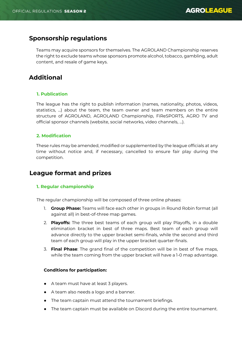# **Sponsorship regulations**

Teams may acquire sponsors for themselves. The AGROLAND Championship reserves the right to exclude teams whose sponsors promote alcohol, tobacco, gambling, adult content, and resale of game keys.

# **Additional**

## **1. Publication**

The league has the right to publish information (names, nationality, photos, videos, statistics, ...) about the team, the team owner and team members on the entire structure of AGROLAND, AGROLAND Championship, FiReSPORTS, AGRO TV and official sponsor channels (website, social networks, video channels, ...).

## **2. Modification**

These rules may be amended, modified or supplemented by the league officials at any time without notice and, if necessary, cancelled to ensure fair play during the competition.

## **League format and prizes**

## **1. Regular championship**

The regular championship will be composed of three online phases:

- 1. **Group Phase:** Teams will face each other in groups in Round Robin format (all against all) in best-of-three map games.
- 2. **Playoffs:** The three best teams of each group will play Playoffs, in a double elimination bracket in best of three maps. Best team of each group will advance directly to the upper bracket semi-finals, while the second and third team of each group will play in the upper bracket quarter-finals.
- 3. **Final Phase**: The grand final of the competition will be in best of five maps, while the team coming from the upper bracket will have a 1-0 map advantage.

## **Conditions for participation:**

- A team must have at least 3 players.
- A team also needs a logo and a banner.
- The team captain must attend the tournament briefings.
- The team captain must be available on Discord during the entire tournament.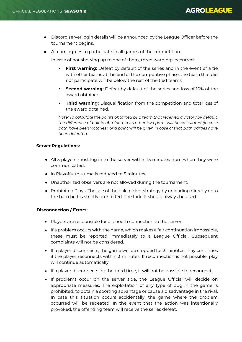- Discord server login details will be announced by the League Officer before the tournament begins.
- A team agrees to participate in all games of the competition.

In case of not showing up to one of them, three warnings occurred:

- **First warning:** Defeat by default of the series and in the event of a tie with other teams at the end of the competitive phase, the team that did not participate will be below the rest of the tied teams.
- **Second warning:** Defeat by default of the series and loss of 10% of the award obtained.
- **Third warning:** Disqualification from the competition and total loss of the award obtained.

*Note: To calculate the points obtained by a team that received a victory by default, the difference of points obtained in its other two parts will be calculated (in case both have been victories), or a point will be given in case of that both parties have been defeated.*

## **Server Regulations:**

- All 3 players must log in to the server within 15 minutes from when they were communicated.
- In Playoffs, this time is reduced to 5 minutes.
- Unauthorized observers are not allowed during the tournament.
- Prohibited Plays: The use of the bale picker strategy by unloading directly onto the barn belt is strictly prohibited. The forklift should always be used.

## **Disconnection / Errors:**

- Players are responsible for a smooth connection to the server.
- If a problem occurs with the game, which makes a fair continuation impossible, these must be reported immediately to a League Official. Subsequent complaints will not be considered.
- If a player disconnects, the game will be stopped for 3 minutes. Play continues if the player reconnects within 3 minutes. If reconnection is not possible, play will continue automatically.
- If a player disconnects for the third time, it will not be possible to reconnect.
- If problems occur on the server side, the League Official will decide on appropriate measures. The exploitation of any type of bug in the game is prohibited, to obtain a sporting advantage or cause a disadvantage in the rival. In case this situation occurs accidentally, the game where the problem occurred will be repeated. In the event that the action was intentionally provoked, the offending team will receive the series defeat.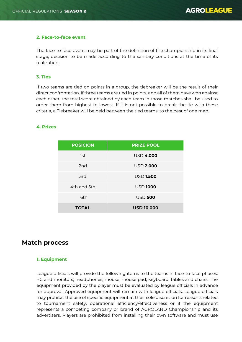## **2. Face-to-face event**

The face-to-face event may be part of the definition of the championship in its final stage, decision to be made according to the sanitary conditions at the time of its realization.

## **3. Ties**

If two teams are tied on points in a group, the tiebreaker will be the result of their direct confrontation. If three teams are tied in points, and all of them have won against each other, the total score obtained by each team in those matches shall be used to order them from highest to lowest. If it is not possible to break the tie with these criteria, a Tiebreaker will be held between the tied teams, to the best of one map.

## **4. Prizes**

| <b>POSICIÓN</b> | <b>PRIZE POOL</b> |
|-----------------|-------------------|
| 1st             | <b>USD 4.000</b>  |
| 2 <sub>nd</sub> | <b>USD 2.000</b>  |
| 3rd             | <b>USD 1.500</b>  |
| 4th and 5th     | <b>USD 1000</b>   |
| 6th             | <b>USD 500</b>    |
| <b>TOTAL</b>    | <b>USD 10.000</b> |

## **Match process**

## **1. Equipment**

League officials will provide the following items to the teams in face-to-face phases: PC and monitors; headphones; mouse; mouse pad; keyboard; tables and chairs. The equipment provided by the player must be evaluated by league officials in advance for approval. Approved equipment will remain with league officials. League officials may prohibit the use of specific equipment at their sole discretion for reasons related to tournament safety, operational efficiency/effectiveness or if the equipment represents a competing company or brand of AGROLAND Championship and its advertisers. Players are prohibited from installing their own software and must use